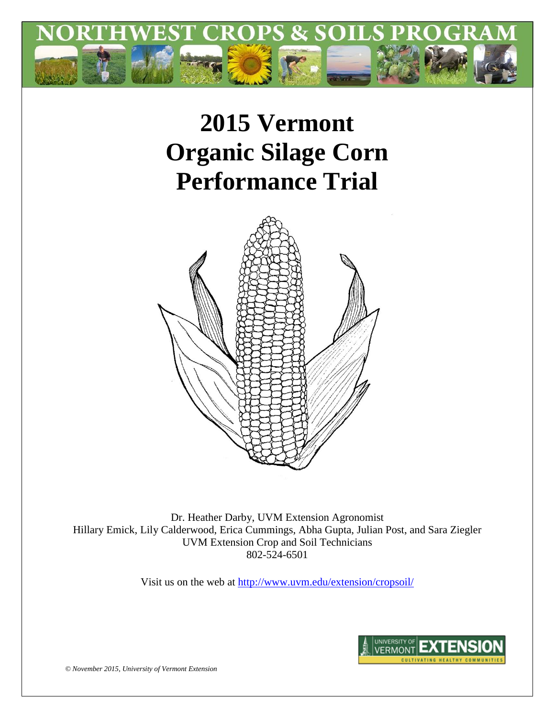

# **2015 Vermont Organic Silage Corn Performance Trial**



Dr. Heather Darby, UVM Extension Agronomist Hillary Emick, Lily Calderwood, Erica Cummings, Abha Gupta, Julian Post, and Sara Ziegler UVM Extension Crop and Soil Technicians 802-524-6501

Visit us on the web at<http://www.uvm.edu/extension/cropsoil/>



*© November 2015, University of Vermont Extension*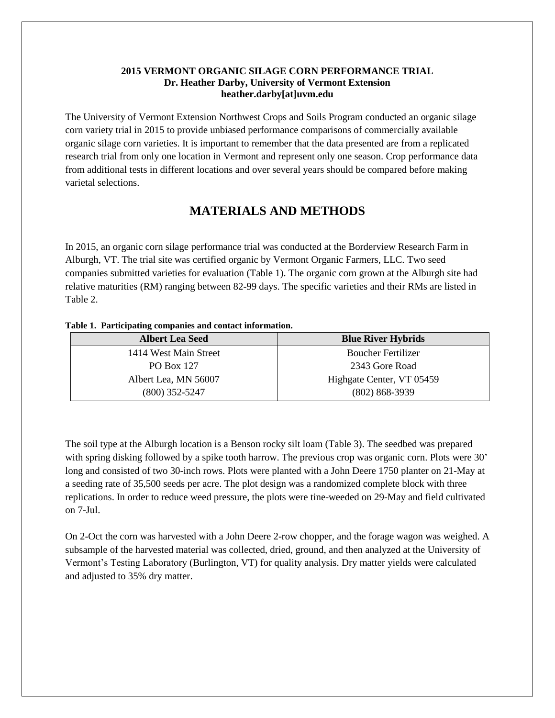#### **2015 VERMONT ORGANIC SILAGE CORN PERFORMANCE TRIAL Dr. Heather Darby, University of Vermont Extension heather.darby[at]uvm.edu**

The University of Vermont Extension Northwest Crops and Soils Program conducted an organic silage corn variety trial in 2015 to provide unbiased performance comparisons of commercially available organic silage corn varieties. It is important to remember that the data presented are from a replicated research trial from only one location in Vermont and represent only one season. Crop performance data from additional tests in different locations and over several years should be compared before making varietal selections.

## **MATERIALS AND METHODS**

In 2015, an organic corn silage performance trial was conducted at the Borderview Research Farm in Alburgh, VT. The trial site was certified organic by Vermont Organic Farmers, LLC. Two seed companies submitted varieties for evaluation (Table 1). The organic corn grown at the Alburgh site had relative maturities (RM) ranging between 82-99 days. The specific varieties and their RMs are listed in Table 2.

#### **Table 1. Participating companies and contact information.**

| <b>Albert Lea Seed</b> | <b>Blue River Hybrids</b> |  |  |  |
|------------------------|---------------------------|--|--|--|
| 1414 West Main Street  | <b>Boucher Fertilizer</b> |  |  |  |
| <b>PO Box 127</b>      | 2343 Gore Road            |  |  |  |
| Albert Lea, MN 56007   | Highgate Center, VT 05459 |  |  |  |
| $(800)$ 352-5247       | $(802) 868 - 3939$        |  |  |  |

The soil type at the Alburgh location is a Benson rocky silt loam (Table 3). The seedbed was prepared with spring disking followed by a spike tooth harrow. The previous crop was organic corn. Plots were 30' long and consisted of two 30-inch rows. Plots were planted with a John Deere 1750 planter on 21-May at a seeding rate of 35,500 seeds per acre. The plot design was a randomized complete block with three replications. In order to reduce weed pressure, the plots were tine-weeded on 29-May and field cultivated on 7-Jul.

On 2-Oct the corn was harvested with a John Deere 2-row chopper, and the forage wagon was weighed. A subsample of the harvested material was collected, dried, ground, and then analyzed at the University of Vermont's Testing Laboratory (Burlington, VT) for quality analysis. Dry matter yields were calculated and adjusted to 35% dry matter.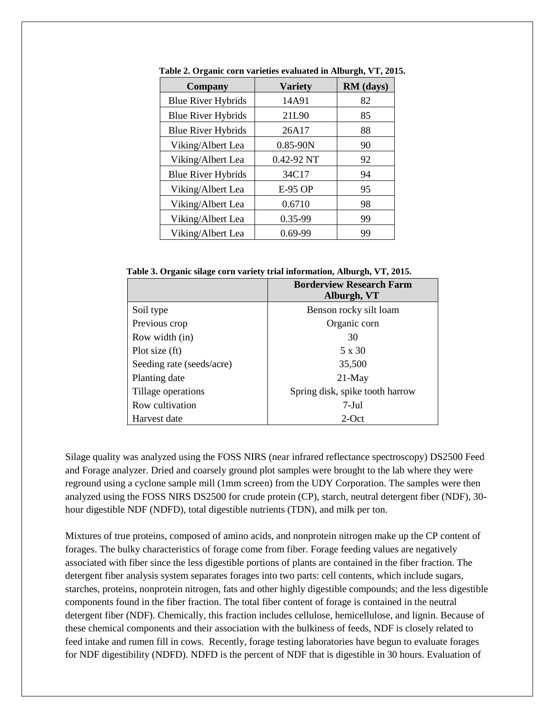| <b>Company</b>            | <b>Variety</b> | RM (days) |  |  |
|---------------------------|----------------|-----------|--|--|
| <b>Blue River Hybrids</b> | 14A91          | 82        |  |  |
| <b>Blue River Hybrids</b> | 21L90          | 85        |  |  |
| <b>Blue River Hybrids</b> | 26A17          | 88        |  |  |
| Viking/Albert Lea         | $0.85 - 90N$   | 90        |  |  |
| Viking/Albert Lea         | 0.42-92 NT     | 92        |  |  |
| <b>Blue River Hybrids</b> | 34C17          | 94        |  |  |
| Viking/Albert Lea         | <b>E-95 OP</b> | 95        |  |  |
| Viking/Albert Lea         | 0.6710         | 98        |  |  |
| Viking/Albert Lea         | 0.35-99        | 99        |  |  |
| Viking/Albert Lea         | $0.69 - 99$    | 99        |  |  |

**Table 2. Organic corn varieties evaluated in Alburgh, VT, 2015.**

**Table 3. Organic silage corn variety trial information, Alburgh, VT, 2015.**

|                           | <b>Borderview Research Farm</b><br>Alburgh, VT |  |  |  |  |
|---------------------------|------------------------------------------------|--|--|--|--|
| Soil type                 | Benson rocky silt loam                         |  |  |  |  |
| Previous crop             | Organic corn                                   |  |  |  |  |
| Row width (in)            | 30                                             |  |  |  |  |
| Plot size (ft)            | 5 x 30                                         |  |  |  |  |
| Seeding rate (seeds/acre) | 35,500                                         |  |  |  |  |
| Planting date             | $21$ -May                                      |  |  |  |  |
| Tillage operations        | Spring disk, spike tooth harrow                |  |  |  |  |
| Row cultivation           | $7-Jul$                                        |  |  |  |  |
| Harvest date              | $2$ -Oct                                       |  |  |  |  |

Silage quality was analyzed using the FOSS NIRS (near infrared reflectance spectroscopy) DS2500 Feed and Forage analyzer. Dried and coarsely ground plot samples were brought to the lab where they were reground using a cyclone sample mill (1mm screen) from the UDY Corporation. The samples were then analyzed using the FOSS NIRS DS2500 for crude protein (CP), starch, neutral detergent fiber (NDF), 30 hour digestible NDF (NDFD), total digestible nutrients (TDN), and milk per ton.

Mixtures of true proteins, composed of amino acids, and nonprotein nitrogen make up the CP content of forages. The bulky characteristics of forage come from fiber. Forage feeding values are negatively associated with fiber since the less digestible portions of plants are contained in the fiber fraction. The detergent fiber analysis system separates forages into two parts: cell contents, which include sugars, starches, proteins, nonprotein nitrogen, fats and other highly digestible compounds; and the less digestible components found in the fiber fraction. The total fiber content of forage is contained in the neutral detergent fiber (NDF). Chemically, this fraction includes cellulose, hemicellulose, and lignin. Because of these chemical components and their association with the bulkiness of feeds, NDF is closely related to feed intake and rumen fill in cows. Recently, forage testing laboratories have begun to evaluate forages for NDF digestibility (NDFD). NDFD is the percent of NDF that is digestible in 30 hours. Evaluation of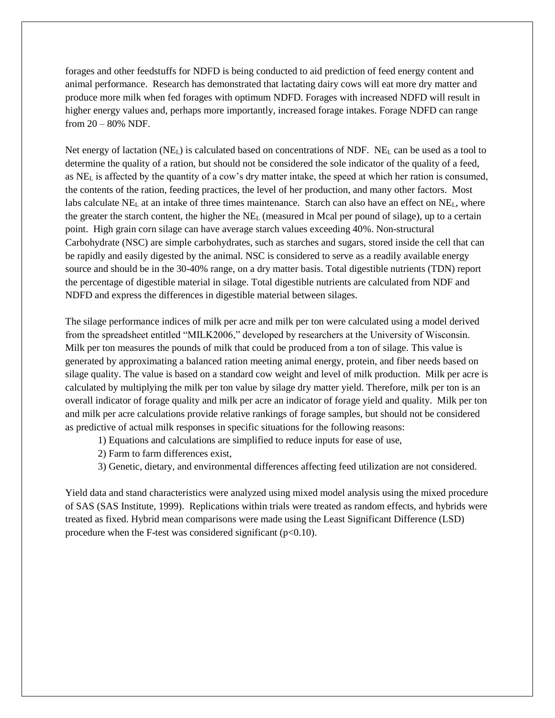forages and other feedstuffs for NDFD is being conducted to aid prediction of feed energy content and animal performance. Research has demonstrated that lactating dairy cows will eat more dry matter and produce more milk when fed forages with optimum NDFD. Forages with increased NDFD will result in higher energy values and, perhaps more importantly, increased forage intakes. Forage NDFD can range from 20 – 80% NDF.

Net energy of lactation  $(NE_L)$  is calculated based on concentrations of NDF.  $NE_L$  can be used as a tool to determine the quality of a ration, but should not be considered the sole indicator of the quality of a feed, as NE<sup>L</sup> is affected by the quantity of a cow's dry matter intake, the speed at which her ration is consumed, the contents of the ration, feeding practices, the level of her production, and many other factors. Most labs calculate  $NE<sub>L</sub>$  at an intake of three times maintenance. Starch can also have an effect on  $NE<sub>L</sub>$ , where the greater the starch content, the higher the  $NE<sub>L</sub>$  (measured in Mcal per pound of silage), up to a certain point. High grain corn silage can have average starch values exceeding 40%. Non-structural Carbohydrate (NSC) are simple carbohydrates, such as starches and sugars, stored inside the cell that can be rapidly and easily digested by the animal. NSC is considered to serve as a readily available energy source and should be in the 30-40% range, on a dry matter basis. Total digestible nutrients (TDN) report the percentage of digestible material in silage. Total digestible nutrients are calculated from NDF and NDFD and express the differences in digestible material between silages.

The silage performance indices of milk per acre and milk per ton were calculated using a model derived from the spreadsheet entitled "MILK2006," developed by researchers at the University of Wisconsin. Milk per ton measures the pounds of milk that could be produced from a ton of silage. This value is generated by approximating a balanced ration meeting animal energy, protein, and fiber needs based on silage quality. The value is based on a standard cow weight and level of milk production. Milk per acre is calculated by multiplying the milk per ton value by silage dry matter yield. Therefore, milk per ton is an overall indicator of forage quality and milk per acre an indicator of forage yield and quality. Milk per ton and milk per acre calculations provide relative rankings of forage samples, but should not be considered as predictive of actual milk responses in specific situations for the following reasons:

1) Equations and calculations are simplified to reduce inputs for ease of use,

2) Farm to farm differences exist,

3) Genetic, dietary, and environmental differences affecting feed utilization are not considered.

Yield data and stand characteristics were analyzed using mixed model analysis using the mixed procedure of SAS (SAS Institute, 1999). Replications within trials were treated as random effects, and hybrids were treated as fixed. Hybrid mean comparisons were made using the Least Significant Difference (LSD) procedure when the F-test was considered significant  $(p<0.10)$ .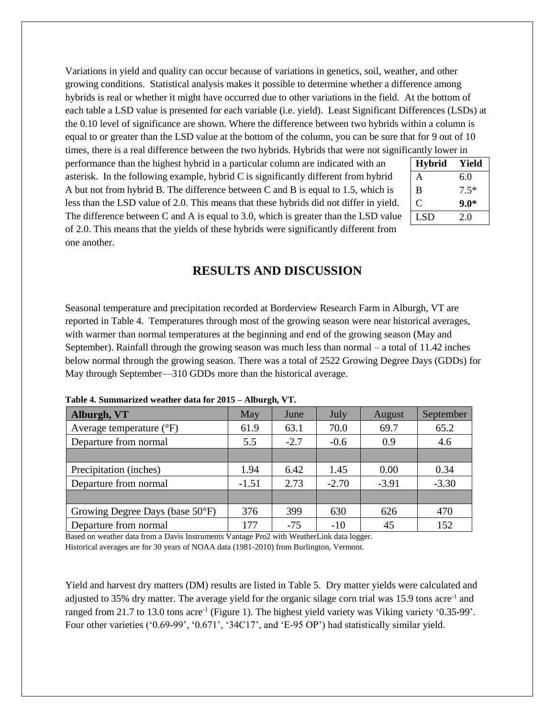Variations in yield and quality can occur because of variations in genetics, soil, weather, and other growing conditions. Statistical analysis makes it possible to determine whether a difference among hybrids is real or whether it might have occurred due to other variations in the field. At the bottom of each table a LSD value is presented for each variable (i.e. yield). Least Significant Differences (LSDs) at the 0.10 level of significance are shown. Where the difference between two hybrids within a column is equal to or greater than the LSD value at the bottom of the column, you can be sure that for 9 out of 10 times, there is a real difference between the two hybrids. Hybrids that were not significantly lower in

performance than the highest hybrid in a particular column are indicated with an asterisk. In the following example, hybrid C is significantly different from hybrid A but not from hybrid B. The difference between C and B is equal to 1.5, which is less than the LSD value of 2.0. This means that these hybrids did not differ in yield. The difference between C and A is equal to 3.0, which is greater than the LSD value of 2.0. This means that the yields of these hybrids were significantly different from one another.

| <b>Hybrid</b> | Yield  |
|---------------|--------|
| A             | 6.0    |
| B             | $7.5*$ |
| C             | 9.0*   |
| <b>LSD</b>    | 2.0    |

## **RESULTS AND DISCUSSION**

Seasonal temperature and precipitation recorded at Borderview Research Farm in Alburgh, VT are reported in Table 4. Temperatures through most of the growing season were near historical averages, with warmer than normal temperatures at the beginning and end of the growing season (May and September). Rainfall through the growing season was much less than normal – a total of 11.42 inches below normal through the growing season. There was a total of 2522 Growing Degree Days (GDDs) for May through September—310 GDDs more than the historical average.

| Alburgh, VT                               | May     | June   | July    | <b>August</b> | September |  |
|-------------------------------------------|---------|--------|---------|---------------|-----------|--|
| Average temperature $(^{\circ}F)$         | 61.9    | 63.1   | 70.0    | 69.7          | 65.2      |  |
| Departure from normal                     | 5.5     | $-2.7$ | $-0.6$  | 0.9           | 4.6       |  |
|                                           |         |        |         |               |           |  |
| Precipitation (inches)                    | 1.94    | 6.42   | 1.45    | 0.00          | 0.34      |  |
| Departure from normal                     | $-1.51$ | 2.73   | $-2.70$ | $-3.91$       | $-3.30$   |  |
|                                           |         |        |         |               |           |  |
| Growing Degree Days (base $50^{\circ}$ F) | 376     | 399    | 630     | 626           | 470       |  |
| Departure from normal                     | 177     | $-75$  | $-10$   | 45            | 152       |  |

**Table 4. Summarized weather data for 2015 – Alburgh, VT.**

Based on weather data from a Davis Instruments Vantage Pro2 with WeatherLink data logger. Historical averages are for 30 years of NOAA data (1981-2010) from Burlington, Vermont.

Yield and harvest dry matters (DM) results are listed in Table 5. Dry matter yields were calculated and adjusted to 35% dry matter. The average yield for the organic silage corn trial was 15.9 tons acre<sup>-1</sup> and ranged from 21.7 to 13.0 tons acre<sup>-1</sup> (Figure 1). The highest yield variety was Viking variety '0.35-99'. Four other varieties ('0.69-99', '0.671', '34C17', and 'E-95 OP') had statistically similar yield.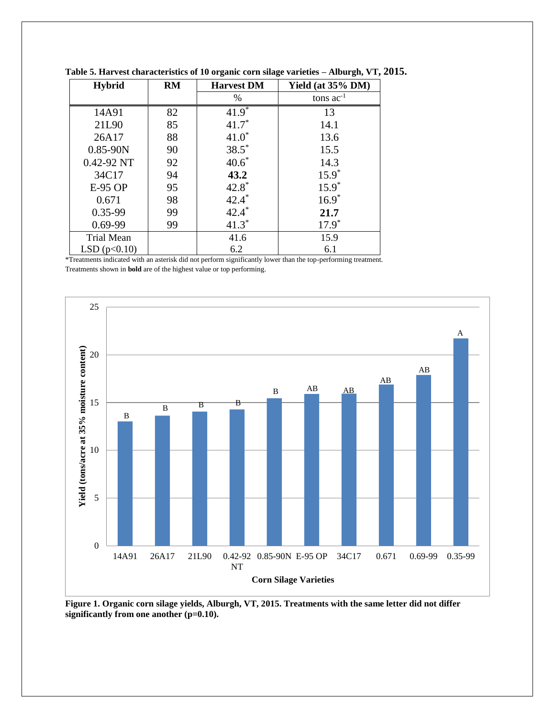| <b>Hybrid</b>     | RM | <b>Harvest DM</b> | Yield (at 35% DM) |
|-------------------|----|-------------------|-------------------|
|                   |    | $\%$              | tons $ac^{-1}$    |
| 14A91             | 82 | $41.9*$           | 13                |
| 21L90             | 85 | $41.7*$           | 14.1              |
| 26A17             | 88 | $41.0*$           | 13.6              |
| $0.85 - 90N$      | 90 | $38.5*$           | 15.5              |
| $0.42 - 92$ NT    | 92 | $40.6*$           | 14.3              |
| 34C17             | 94 | 43.2              | $15.9*$           |
| E-95 OP           | 95 | $42.8*$           | $15.9*$           |
| 0.671             | 98 | $42.4*$           | $16.9*$           |
| $0.35 - 99$       | 99 | $42.4*$           | 21.7              |
| $0.69 - 99$       | 99 | $41.3*$           | $17.9*$           |
| <b>Trial Mean</b> |    | 41.6              | 15.9              |
| LSD $(p<0.10)$    |    | 6.2               | 6.1               |

**Table 5. Harvest characteristics of 10 organic corn silage varieties – Alburgh, VT, 2015.**

\*Treatments indicated with an asterisk did not perform significantly lower than the top-performing treatment. Treatments shown in **bold** are of the highest value or top performing.



**Figure 1. Organic corn silage yields, Alburgh, VT, 2015. Treatments with the same letter did not differ significantly from one another (p=0.10).**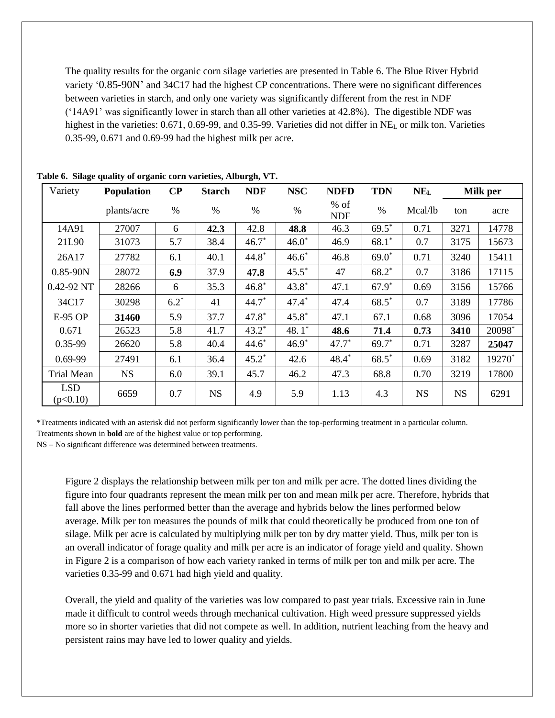The quality results for the organic corn silage varieties are presented in Table 6. The Blue River Hybrid variety '0.85-90N' and 34C17 had the highest CP concentrations. There were no significant differences between varieties in starch, and only one variety was significantly different from the rest in NDF ('14A91' was significantly lower in starch than all other varieties at 42.8%). The digestible NDF was highest in the varieties: 0.671, 0.69-99, and 0.35-99. Varieties did not differ in NE<sub>L</sub> or milk ton. Varieties 0.35-99, 0.671 and 0.69-99 had the highest milk per acre.

| Variety                | Population  | $\bf CP$ | <b>Starch</b> | <b>NDF</b> | <b>NSC</b> | <b>NDFD</b>          | <b>TDN</b> | NE <sub>L</sub> | Milk per  |        |
|------------------------|-------------|----------|---------------|------------|------------|----------------------|------------|-----------------|-----------|--------|
|                        | plants/acre | $\%$     | $\%$          | $\%$       | $\%$       | $%$ of<br><b>NDF</b> | $\%$       | Mcal/lb         | ton       | acre   |
| 14A91                  | 27007       | 6        | 42.3          | 42.8       | 48.8       | 46.3                 | $69.5*$    | 0.71            | 3271      | 14778  |
| 21L90                  | 31073       | 5.7      | 38.4          | $46.7*$    | $46.0*$    | 46.9                 | $68.1*$    | 0.7             | 3175      | 15673  |
| 26A17                  | 27782       | 6.1      | 40.1          | $44.8*$    | $46.6*$    | 46.8                 | $69.0*$    | 0.71            | 3240      | 15411  |
| $0.85 - 90N$           | 28072       | 6.9      | 37.9          | 47.8       | $45.5^*$   | 47                   | $68.2*$    | 0.7             | 3186      | 17115  |
| $0.42 - 92$ NT         | 28266       | 6        | 35.3          | $46.8*$    | $43.8*$    | 47.1                 | $67.9*$    | 0.69            | 3156      | 15766  |
| 34C17                  | 30298       | $6.2*$   | 41            | $44.7*$    | $47.4*$    | 47.4                 | $68.5*$    | 0.7             | 3189      | 17786  |
| E-95 OP                | 31460       | 5.9      | 37.7          | $47.8*$    | $45.8*$    | 47.1                 | 67.1       | 0.68            | 3096      | 17054  |
| 0.671                  | 26523       | 5.8      | 41.7          | $43.2*$    | 48.1 $*$   | 48.6                 | 71.4       | 0.73            | 3410      | 20098* |
| 0.35-99                | 26620       | 5.8      | 40.4          | $44.6*$    | $46.9*$    | $47.7*$              | $69.7^*$   | 0.71            | 3287      | 25047  |
| $0.69 - 99$            | 27491       | 6.1      | 36.4          | $45.2^*$   | 42.6       | $48.4*$              | $68.5*$    | 0.69            | 3182      | 19270* |
| Trial Mean             | <b>NS</b>   | 6.0      | 39.1          | 45.7       | 46.2       | 47.3                 | 68.8       | 0.70            | 3219      | 17800  |
| <b>LSD</b><br>(p<0.10) | 6659        | 0.7      | <b>NS</b>     | 4.9        | 5.9        | 1.13                 | 4.3        | <b>NS</b>       | <b>NS</b> | 6291   |

**Table 6. Silage quality of organic corn varieties, Alburgh, VT.**

\*Treatments indicated with an asterisk did not perform significantly lower than the top-performing treatment in a particular column. Treatments shown in **bold** are of the highest value or top performing.

NS – No significant difference was determined between treatments.

Figure 2 displays the relationship between milk per ton and milk per acre. The dotted lines dividing the figure into four quadrants represent the mean milk per ton and mean milk per acre. Therefore, hybrids that fall above the lines performed better than the average and hybrids below the lines performed below average. Milk per ton measures the pounds of milk that could theoretically be produced from one ton of silage. Milk per acre is calculated by multiplying milk per ton by dry matter yield. Thus, milk per ton is an overall indicator of forage quality and milk per acre is an indicator of forage yield and quality. Shown in Figure 2 is a comparison of how each variety ranked in terms of milk per ton and milk per acre. The varieties 0.35-99 and 0.671 had high yield and quality.

Overall, the yield and quality of the varieties was low compared to past year trials. Excessive rain in June made it difficult to control weeds through mechanical cultivation. High weed pressure suppressed yields more so in shorter varieties that did not compete as well. In addition, nutrient leaching from the heavy and persistent rains may have led to lower quality and yields.